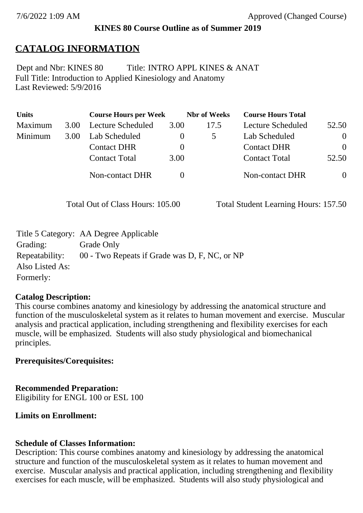#### **KINES 80 Course Outline as of Summer 2019**

# **CATALOG INFORMATION**

Full Title: Introduction to Applied Kinesiology and Anatomy Last Reviewed: 5/9/2016 Dept and Nbr: KINES 80 Title: INTRO APPL KINES & ANAT

| <b>Units</b> |      | <b>Course Hours per Week</b> |      | <b>Nbr</b> of Weeks | <b>Course Hours Total</b> |          |
|--------------|------|------------------------------|------|---------------------|---------------------------|----------|
| Maximum      | 3.00 | Lecture Scheduled            | 3.00 | 17.5                | Lecture Scheduled         | 52.50    |
| Minimum      | 3.00 | Lab Scheduled                |      |                     | Lab Scheduled             | $\theta$ |
|              |      | <b>Contact DHR</b>           |      |                     | <b>Contact DHR</b>        | $\Omega$ |
|              |      | <b>Contact Total</b>         | 3.00 |                     | <b>Contact Total</b>      | 52.50    |
|              |      | Non-contact DHR              |      |                     | <b>Non-contact DHR</b>    | $\theta$ |

Total Out of Class Hours: 105.00 Total Student Learning Hours: 157.50

|                 | Title 5 Category: AA Degree Applicable        |
|-----------------|-----------------------------------------------|
| Grading:        | Grade Only                                    |
| Repeatability:  | 00 - Two Repeats if Grade was D, F, NC, or NP |
| Also Listed As: |                                               |
| Formerly:       |                                               |

#### **Catalog Description:**

This course combines anatomy and kinesiology by addressing the anatomical structure and function of the musculoskeletal system as it relates to human movement and exercise. Muscular analysis and practical application, including strengthening and flexibility exercises for each muscle, will be emphasized. Students will also study physiological and biomechanical principles.

## **Prerequisites/Corequisites:**

#### **Recommended Preparation:**

Eligibility for ENGL 100 or ESL 100

## **Limits on Enrollment:**

#### **Schedule of Classes Information:**

Description: This course combines anatomy and kinesiology by addressing the anatomical structure and function of the musculoskeletal system as it relates to human movement and exercise. Muscular analysis and practical application, including strengthening and flexibility exercises for each muscle, will be emphasized. Students will also study physiological and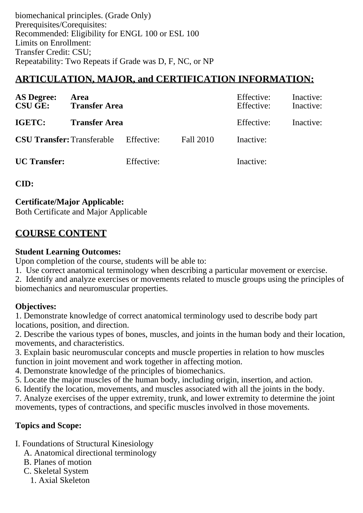biomechanical principles. (Grade Only) Prerequisites/Corequisites: Recommended: Eligibility for ENGL 100 or ESL 100 Limits on Enrollment: Transfer Credit: CSU; Repeatability: Two Repeats if Grade was D, F, NC, or NP

# **ARTICULATION, MAJOR, and CERTIFICATION INFORMATION:**

| <b>AS Degree:</b><br><b>CSU GE:</b> | Area<br><b>Transfer Area</b>                 |            |           | Effective:<br>Effective: | Inactive:<br>Inactive: |
|-------------------------------------|----------------------------------------------|------------|-----------|--------------------------|------------------------|
| IGETC:                              | <b>Transfer Area</b>                         |            |           | Effective:               | Inactive:              |
|                                     | <b>CSU Transfer:</b> Transferable Effective: |            | Fall 2010 | Inactive:                |                        |
| <b>UC</b> Transfer:                 |                                              | Effective: |           | Inactive:                |                        |

**CID:**

**Certificate/Major Applicable:** 

[Both Certificate and Major Applicable](SR_ClassCheck.aspx?CourseKey=KINES80)

# **COURSE CONTENT**

## **Student Learning Outcomes:**

Upon completion of the course, students will be able to:

- 1. Use correct anatomical terminology when describing a particular movement or exercise.
- 2. Identify and analyze exercises or movements related to muscle groups using the principles of biomechanics and neuromuscular properties.

# **Objectives:**

1. Demonstrate knowledge of correct anatomical terminology used to describe body part locations, position, and direction.

2. Describe the various types of bones, muscles, and joints in the human body and their location, movements, and characteristics.

3. Explain basic neuromuscular concepts and muscle properties in relation to how muscles function in joint movement and work together in affecting motion.

- 4. Demonstrate knowledge of the principles of biomechanics.
- 5. Locate the major muscles of the human body, including origin, insertion, and action.
- 6. Identify the location, movements, and muscles associated with all the joints in the body.

7. Analyze exercises of the upper extremity, trunk, and lower extremity to determine the joint movements, types of contractions, and specific muscles involved in those movements.

# **Topics and Scope:**

- I. Foundations of Structural Kinesiology
	- A. Anatomical directional terminology
	- B. Planes of motion
	- C. Skeletal System
		- 1. Axial Skeleton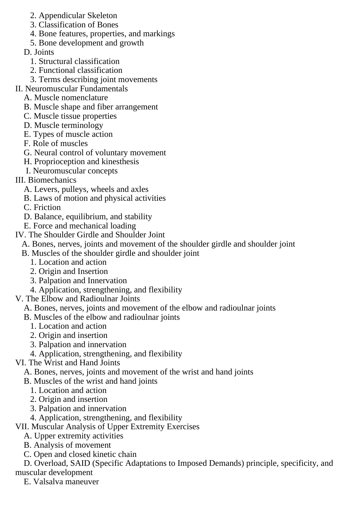- 2. Appendicular Skeleton
- 3. Classification of Bones
- 4. Bone features, properties, and markings
- 5. Bone development and growth
- D. Joints
	- 1. Structural classification
	- 2. Functional classification
	- 3. Terms describing joint movements
- II. Neuromuscular Fundamentals
	- A. Muscle nomenclature
	- B. Muscle shape and fiber arrangement
	- C. Muscle tissue properties
	- D. Muscle terminology
	- E. Types of muscle action
	- F. Role of muscles
	- G. Neural control of voluntary movement
	- H. Proprioception and kinesthesis
	- I. Neuromuscular concepts
- III. Biomechanics
	- A. Levers, pulleys, wheels and axles
	- B. Laws of motion and physical activities
	- C. Friction
	- D. Balance, equilibrium, and stability
	- E. Force and mechanical loading
- IV. The Shoulder Girdle and Shoulder Joint
	- A. Bones, nerves, joints and movement of the shoulder girdle and shoulder joint
	- B. Muscles of the shoulder girdle and shoulder joint
		- 1. Location and action
		- 2. Origin and Insertion
		- 3. Palpation and Innervation
		- 4. Application, strengthening, and flexibility
- V. The Elbow and Radioulnar Joints
	- A. Bones, nerves, joints and movement of the elbow and radioulnar joints
	- B. Muscles of the elbow and radioulnar joints
		- 1. Location and action
		- 2. Origin and insertion
		- 3. Palpation and innervation
		- 4. Application, strengthening, and flexibility

## VI. The Wrist and Hand Joints

- A. Bones, nerves, joints and movement of the wrist and hand joints
- B. Muscles of the wrist and hand joints
	- 1. Location and action
	- 2. Origin and insertion
	- 3. Palpation and innervation
- 4. Application, strengthening, and flexibility
- VII. Muscular Analysis of Upper Extremity Exercises
	- A. Upper extremity activities
	- B. Analysis of movement
	- C. Open and closed kinetic chain

 D. Overload, SAID (Specific Adaptations to Imposed Demands) principle, specificity, and muscular development

E. Valsalva maneuver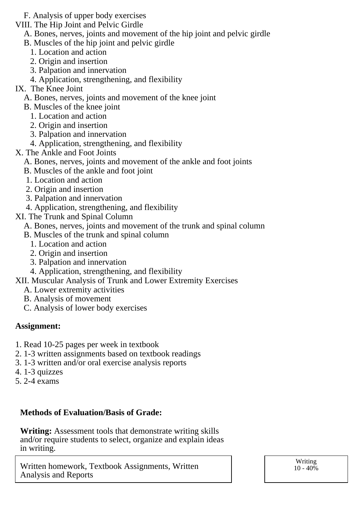- F. Analysis of upper body exercises
- VIII. The Hip Joint and Pelvic Girdle
	- A. Bones, nerves, joints and movement of the hip joint and pelvic girdle
	- B. Muscles of the hip joint and pelvic girdle
		- 1. Location and action
		- 2. Origin and insertion
		- 3. Palpation and innervation
		- 4. Application, strengthening, and flexibility
- IX. The Knee Joint
	- A. Bones, nerves, joints and movement of the knee joint
	- B. Muscles of the knee joint
		- 1. Location and action
		- 2. Origin and insertion
		- 3. Palpation and innervation
		- 4. Application, strengthening, and flexibility
- X. The Ankle and Foot Joints
	- A. Bones, nerves, joints and movement of the ankle and foot joints
	- B. Muscles of the ankle and foot joint
	- 1. Location and action
	- 2. Origin and insertion
	- 3. Palpation and innervation
	- 4. Application, strengthening, and flexibility
- XI. The Trunk and Spinal Column
	- A. Bones, nerves, joints and movement of the trunk and spinal column
	- B. Muscles of the trunk and spinal column
		- 1. Location and action
		- 2. Origin and insertion
		- 3. Palpation and innervation
		- 4. Application, strengthening, and flexibility
- XII. Muscular Analysis of Trunk and Lower Extremity Exercises
	- A. Lower extremity activities
	- B. Analysis of movement
	- C. Analysis of lower body exercises

## **Assignment:**

- 1. Read 10-25 pages per week in textbook
- 2. 1-3 written assignments based on textbook readings
- 3. 1-3 written and/or oral exercise analysis reports
- 4. 1-3 quizzes
- 5. 2-4 exams

## **Methods of Evaluation/Basis of Grade:**

**Writing:** Assessment tools that demonstrate writing skills and/or require students to select, organize and explain ideas in writing.

Written homework, Textbook Assignments, Written Analysis and Reports

Writing  $10 - 40\%$